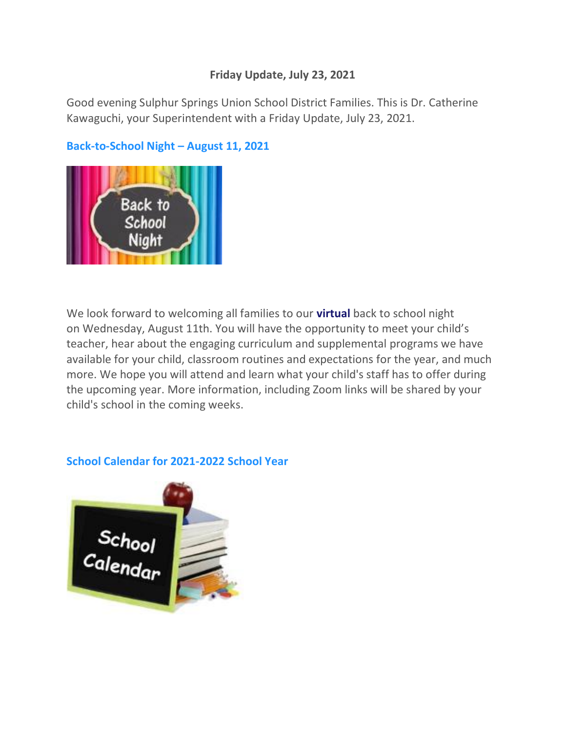## **Friday Update, July 23, 2021**

Good evening Sulphur Springs Union School District Families. This is Dr. Catherine Kawaguchi, your Superintendent with a Friday Update, July 23, 2021.

# **Back-to-School Night – August 11, 2021**



We look forward to welcoming all families to our **virtual** back to school night on Wednesday, August 11th. You will have the opportunity to meet your child's teacher, hear about the engaging curriculum and supplemental programs we have available for your child, classroom routines and expectations for the year, and much more. We hope you will attend and learn what your child's staff has to offer during the upcoming year. More information, including Zoom links will be shared by your child's school in the coming weeks.

### **School Calendar for 2021-2022 School Year**

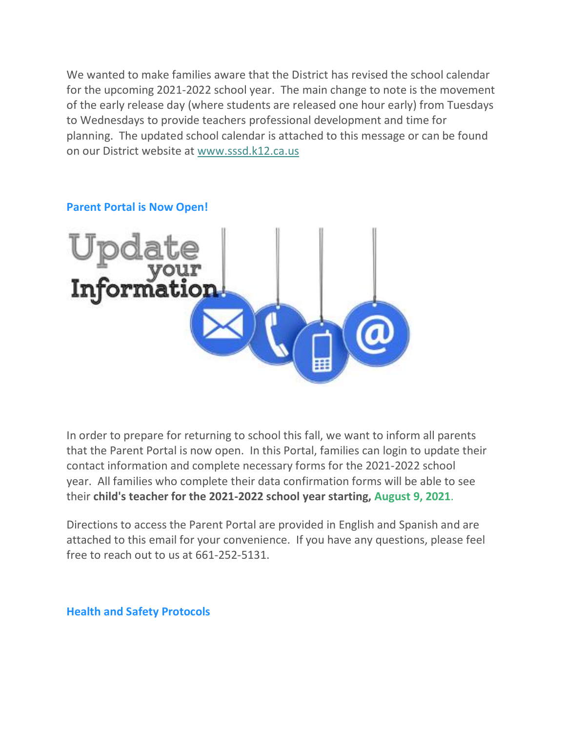We wanted to make families aware that the District has revised the school calendar for the upcoming 2021-2022 school year. The main change to note is the movement of the early release day (where students are released one hour early) from Tuesdays to Wednesdays to provide teachers professional development and time for planning. The updated school calendar is attached to this message or can be found on our District website at [www.sssd.k12.ca.us](http://www.sssd.k12.ca.us/)



#### **Parent Portal is Now Open!**

In order to prepare for returning to school this fall, we want to inform all parents that the Parent Portal is now open. In this Portal, families can login to update their contact information and complete necessary forms for the 2021-2022 school year. All families who complete their data confirmation forms will be able to see their **child's teacher for the 2021-2022 school year starting, August 9, 2021**.

Directions to access the Parent Portal are provided in English and Spanish and are attached to this email for your convenience. If you have any questions, please feel free to reach out to us at 661-252-5131.

**Health and Safety Protocols**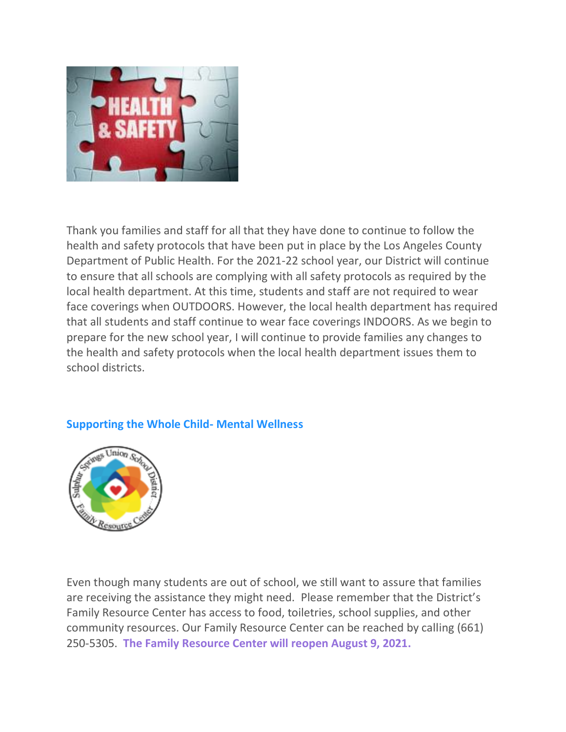

Thank you families and staff for all that they have done to continue to follow the health and safety protocols that have been put in place by the Los Angeles County Department of Public Health. For the 2021-22 school year, our District will continue to ensure that all schools are complying with all safety protocols as required by the local health department. At this time, students and staff are not required to wear face coverings when OUTDOORS. However, the local health department has required that all students and staff continue to wear face coverings INDOORS. As we begin to prepare for the new school year, I will continue to provide families any changes to the health and safety protocols when the local health department issues them to school districts.

### **Supporting the Whole Child- Mental Wellness**



Even though many students are out of school, we still want to assure that families are receiving the assistance they might need. Please remember that the District's Family Resource Center has access to food, toiletries, school supplies, and other community resources. Our Family Resource Center can be reached by calling (661) 250-5305. **The Family Resource Center will reopen August 9, 2021.**